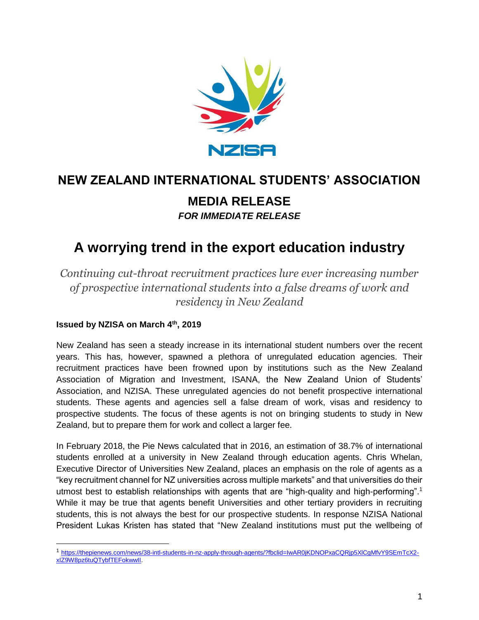

## **NEW ZEALAND INTERNATIONAL STUDENTS' ASSOCIATION MEDIA RELEASE**

*FOR IMMEDIATE RELEASE*

## **A worrying trend in the export education industry**

*Continuing cut-throat recruitment practices lure ever increasing number of prospective international students into a false dreams of work and residency in New Zealand*

## **Issued by NZISA on March 4th, 2019**

 $\overline{a}$ 

New Zealand has seen a steady increase in its international student numbers over the recent years. This has, however, spawned a plethora of unregulated education agencies. Their recruitment practices have been frowned upon by institutions such as the New Zealand Association of Migration and Investment, ISANA, the New Zealand Union of Students' Association, and NZISA. These unregulated agencies do not benefit prospective international students. These agents and agencies sell a false dream of work, visas and residency to prospective students. The focus of these agents is not on bringing students to study in New Zealand, but to prepare them for work and collect a larger fee.

In February 2018, the Pie News calculated that in 2016, an estimation of 38.7% of international students enrolled at a university in New Zealand through education agents. Chris Whelan, Executive Director of Universities New Zealand, places an emphasis on the role of agents as a "key recruitment channel for NZ universities across multiple markets" and that universities do their utmost best to establish relationships with agents that are "high-quality and high-performing".<sup>1</sup> While it may be true that agents benefit Universities and other tertiary providers in recruiting students, this is not always the best for our prospective students. In response NZISA National President Lukas Kristen has stated that "New Zealand institutions must put the wellbeing of

<sup>1</sup> [https://thepienews.com/news/38-intl-students-in-nz-apply-through-agents/?fbclid=IwAR0jKDNOPxaCQRjp5XlCgMfvY9SEmTcX2](https://thepienews.com/news/38-intl-students-in-nz-apply-through-agents/?fbclid=IwAR0jKDNOPxaCQRjp5XlCgMfvY9SEmTcX2-xIZ9W8pz6tuQTybfTEFokwwII) [xIZ9W8pz6tuQTybfTEFokwwII.](https://thepienews.com/news/38-intl-students-in-nz-apply-through-agents/?fbclid=IwAR0jKDNOPxaCQRjp5XlCgMfvY9SEmTcX2-xIZ9W8pz6tuQTybfTEFokwwII)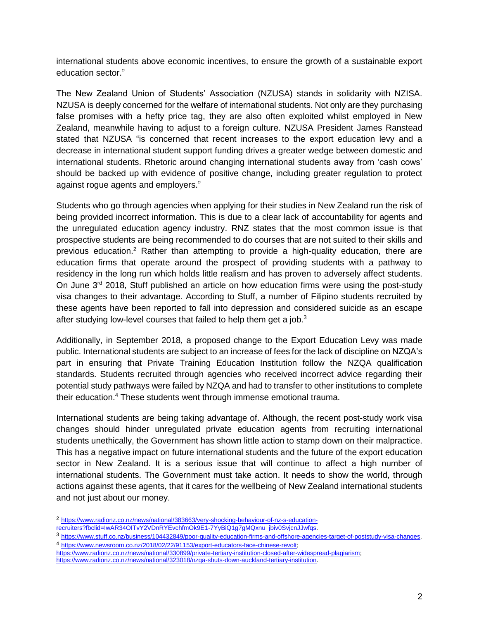international students above economic incentives, to ensure the growth of a sustainable export education sector."

The New Zealand Union of Students' Association (NZUSA) stands in solidarity with NZISA. NZUSA is deeply concerned for the welfare of international students. Not only are they purchasing false promises with a hefty price tag, they are also often exploited whilst employed in New Zealand, meanwhile having to adjust to a foreign culture. NZUSA President James Ranstead stated that NZUSA "is concerned that recent increases to the export education levy and a decrease in international student support funding drives a greater wedge between domestic and international students. Rhetoric around changing international students away from 'cash cows' should be backed up with evidence of positive change, including greater regulation to protect against rogue agents and employers."

Students who go through agencies when applying for their studies in New Zealand run the risk of being provided incorrect information. This is due to a clear lack of accountability for agents and the unregulated education agency industry. RNZ states that the most common issue is that prospective students are being recommended to do courses that are not suited to their skills and previous education.<sup>2</sup> Rather than attempting to provide a high-quality education, there are education firms that operate around the prospect of providing students with a pathway to residency in the long run which holds little realism and has proven to adversely affect students. On June  $3<sup>rd</sup>$  2018, Stuff published an article on how education firms were using the post-study visa changes to their advantage. According to Stuff, a number of Filipino students recruited by these agents have been reported to fall into depression and considered suicide as an escape after studying low-level courses that failed to help them get a job.<sup>3</sup>

Additionally, in September 2018, a proposed change to the Export Education Levy was made public. International students are subject to an increase of fees for the lack of discipline on NZQA's part in ensuring that Private Training Education Institution follow the NZQA qualification standards. Students recruited through agencies who received incorrect advice regarding their potential study pathways were failed by NZQA and had to transfer to other institutions to complete their education.<sup>4</sup> These students went through immense emotional trauma.

International students are being taking advantage of. Although, the recent post-study work visa changes should hinder unregulated private education agents from recruiting international students unethically, the Government has shown little action to stamp down on their malpractice. This has a negative impact on future international students and the future of the export education sector in New Zealand. It is a serious issue that will continue to affect a high number of international students. The Government must take action. It needs to show the world, through actions against these agents, that it cares for the wellbeing of New Zealand international students and not just about our money.

<sup>2</sup> [https://www.radionz.co.nz/news/national/383663/very-shocking-behaviour-of-nz-s-education-](https://www.radionz.co.nz/news/national/383663/very-shocking-behaviour-of-nz-s-education-recruiters?fbclid=IwAR34OITvY2VDnRYEvchfmOk9E1-7YyBiQ1g7gMQxnu_jbiv0SvjcnJJwfqs)

[recruiters?fbclid=IwAR34OITvY2VDnRYEvchfmOk9E1-7YyBiQ1g7gMQxnu\\_jbiv0SvjcnJJwfqs.](https://www.radionz.co.nz/news/national/383663/very-shocking-behaviour-of-nz-s-education-recruiters?fbclid=IwAR34OITvY2VDnRYEvchfmOk9E1-7YyBiQ1g7gMQxnu_jbiv0SvjcnJJwfqs) 

<sup>3</sup> [https://www.stuff.co.nz/business/104432849/poor-quality-education-firms-and-offshore-agencies-target-of-poststudy-visa-changes.](https://www.stuff.co.nz/business/104432849/poor-quality-education-firms-and-offshore-agencies-target-of-poststudy-visa-changes)  <sup>4</sup> [https://www.newsroom.co.nz/2018/02/22/91153/export-educators-face-chinese-revolt;](https://www.newsroom.co.nz/2018/02/22/91153/export-educators-face-chinese-revolt) 

[https://www.radionz.co.nz/news/national/330899/private-tertiary-institution-closed-after-widespread-plagiarism;](https://www.radionz.co.nz/news/national/330899/private-tertiary-institution-closed-after-widespread-plagiarism) [https://www.radionz.co.nz/news/national/323018/nzqa-shuts-down-auckland-tertiary-institution.](https://www.radionz.co.nz/news/national/323018/nzqa-shuts-down-auckland-tertiary-institution)